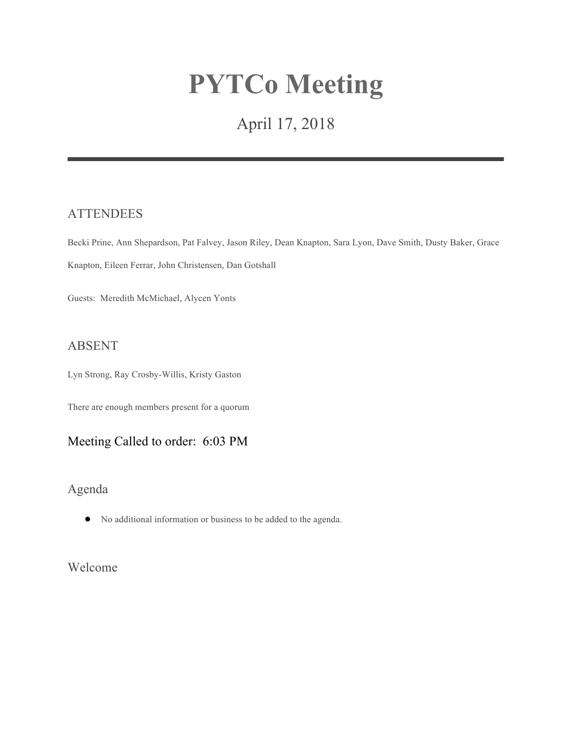# **PYTCo Meeting**

## April 17, 2018

#### **ATTENDEES**

Becki Prine, Ann Shepardson, Pat Falvey, Jason Riley, Dean Knapton, Sara Lyon, Dave Smith, Dusty Baker, Grace Knapton, Eileen Ferrar, John Christensen, Dan Gotshall

Guests: Meredith McMichael, Alycen Yonts

#### ABSENT

Lyn Strong, Ray Crosby-Willis, Kristy Gaston

There are enough members present for a quorum

## Meeting Called to order: 6:03 PM

## Agenda

● No additional information or business to be added to the agenda.

Welcome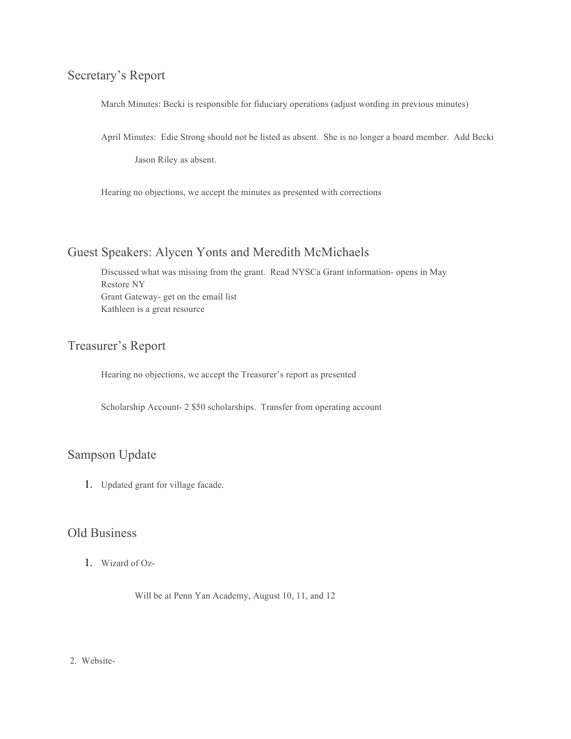## Secretary's Report

March Minutes: Becki is responsible for fiduciary operations (adjust wording in previous minutes)

April Minutes: Edie Strong should not be listed as absent. She is no longer a board member. Add Becki

Jason Riley as absent.

Hearing no objections, we accept the minutes as presented with corrections

## Guest Speakers: Alycen Yonts and Meredith McMichaels

Discussed what was missing from the grant. Read NYSCa Grant information- opens in May Restore NY Grant Gateway- get on the email list Kathleen is a great resource

## Treasurer's Report

Hearing no objections, we accept the Treasurer's report as presented

Scholarship Account- 2 \$50 scholarships. Transfer from operating account

## Sampson Update

1. Updated grant for village facade.

#### Old Business

1. Wizard of Oz-

Will be at Penn Yan Academy, August 10, 11, and 12

#### 2. Website-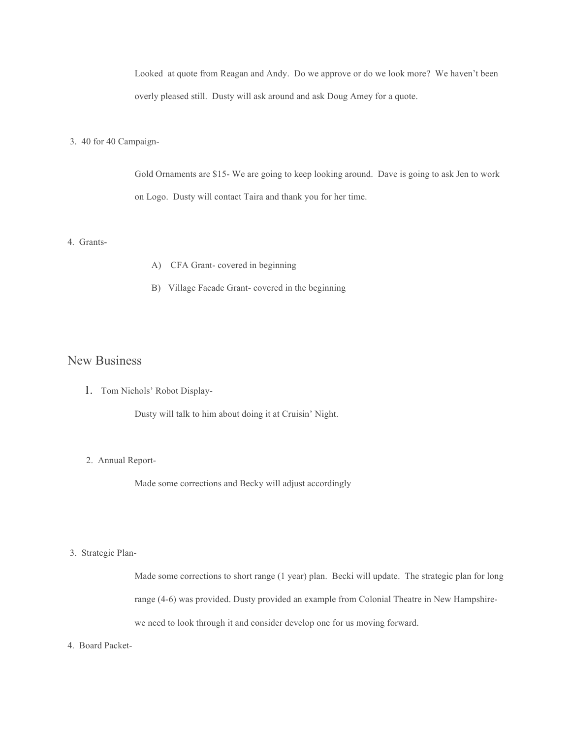Looked at quote from Reagan and Andy. Do we approve or do we look more? We haven't been overly pleased still. Dusty will ask around and ask Doug Amey for a quote.

#### 3. 40 for 40 Campaign-

Gold Ornaments are \$15- We are going to keep looking around. Dave is going to ask Jen to work on Logo. Dusty will contact Taira and thank you for her time.

#### 4. Grants-

- A) CFA Grant- covered in beginning
- B) Village Facade Grant- covered in the beginning

#### New Business

1. Tom Nichols' Robot Display-

Dusty will talk to him about doing it at Cruisin' Night.

#### 2. Annual Report-

Made some corrections and Becky will adjust accordingly

#### 3. Strategic Plan-

Made some corrections to short range (1 year) plan. Becki will update. The strategic plan for long range (4-6) was provided. Dusty provided an example from Colonial Theatre in New Hampshirewe need to look through it and consider develop one for us moving forward.

4. Board Packet-